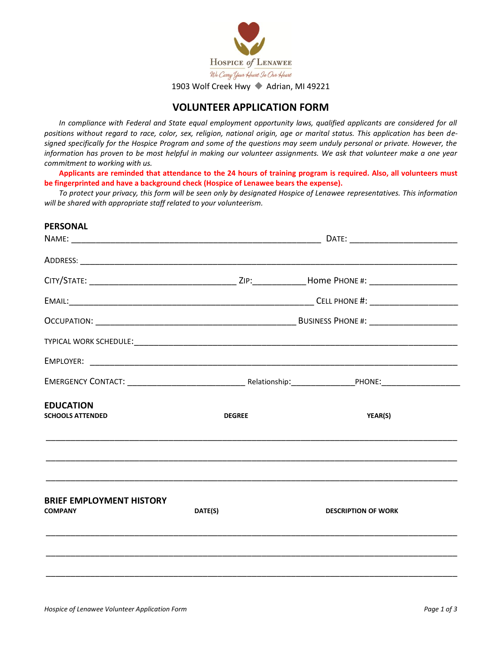

1903 Wolf Creek Hwy ◆ Adrian, MI 49221

## **VOLUNTEER APPLICATION FORM**

In compliance with Federal and State equal employment opportunity laws, qualified applicants are considered for all *positions without regard to race, color, sex, religion, national origin, age or marital status. This application has been designed specifically for the Hospice Program and some of the questions may seem unduly personal or private. However, the information has proven to be most helpful in making our volunteer assignments. We ask that volunteer make a one year commitment to working with us.*

**Applicants are reminded that attendance to the 24 hours of training program is required. Also, all volunteers must be fingerprinted and have a background check (Hospice of Lenawee bears the expense).**

*To protect your privacy, this form will be seen only by designated Hospice of Lenawee representatives. This information will be shared with appropriate staff related to your volunteerism.*

# **PERSONAL** NAME: \_\_\_\_\_\_\_\_\_\_\_\_\_\_\_\_\_\_\_\_\_\_\_\_\_\_\_\_\_\_\_\_\_\_\_\_\_\_\_\_\_\_\_\_\_\_\_\_\_\_\_ DATE: \_\_\_\_\_\_\_\_\_\_\_\_\_\_\_\_\_\_\_\_\_\_ ADDRESS: \_\_\_\_\_\_\_\_\_\_\_\_\_\_\_\_\_\_\_\_\_\_\_\_\_\_\_\_\_\_\_\_\_\_\_\_\_\_\_\_\_\_\_\_\_\_\_\_\_\_\_\_\_\_\_\_\_\_\_\_\_\_\_\_\_\_\_\_\_\_\_\_\_\_\_\_\_ CITY/STATE: \_\_\_\_\_\_\_\_\_\_\_\_\_\_\_\_\_\_\_\_\_\_\_\_\_\_\_\_\_\_ ZIP:\_\_\_\_\_\_\_\_\_\_\_Home PHONE #: \_\_\_\_\_\_\_\_\_\_\_\_\_\_\_\_\_\_ EMAIL:\_\_\_\_\_\_\_\_\_\_\_\_\_\_\_\_\_\_\_\_\_\_\_\_\_\_\_\_\_\_\_\_\_\_\_\_\_\_\_\_\_\_\_\_\_\_\_\_\_\_ CELL PHONE #: \_\_\_\_\_\_\_\_\_\_\_\_\_\_\_\_\_\_ OCCUPATION: \_\_\_\_\_\_\_\_\_\_\_\_\_\_\_\_\_\_\_\_\_\_\_\_\_\_\_\_\_\_\_\_\_\_\_\_\_\_\_\_\_ BUSINESS PHONE #: \_\_\_\_\_\_\_\_\_\_\_\_\_\_\_\_\_\_ TYPICAL WORK SCHEDULE:\_\_\_\_\_\_\_\_\_\_\_\_\_\_\_\_\_\_\_\_\_\_\_\_\_\_\_\_\_\_\_\_\_\_\_\_\_\_\_\_\_\_\_\_\_\_\_\_\_\_\_\_\_\_\_\_\_\_\_\_\_\_\_\_\_\_ EMPLOYER: \_\_\_\_\_\_\_\_\_\_\_\_\_\_\_\_\_\_\_\_\_\_\_\_\_\_\_\_\_\_\_\_\_\_\_\_\_\_\_\_\_\_\_\_\_\_\_\_\_\_\_\_\_\_\_\_\_\_\_\_\_\_\_\_\_\_\_\_\_\_\_\_\_\_\_ EMERGENCY CONTACT: \_\_\_\_\_\_\_\_\_\_\_\_\_\_\_\_\_\_\_\_\_\_\_\_ Relationship:\_\_\_\_\_\_\_\_\_\_\_\_\_PHONE:\_\_\_\_\_\_\_\_\_\_\_\_\_\_\_\_ **EDUCATION SCHOOLS ATTENDED DEGREE YEAR(S)** \_\_\_\_\_\_\_\_\_\_\_\_\_\_\_\_\_\_\_\_\_\_\_\_\_\_\_\_\_\_\_\_\_\_\_\_\_\_\_\_\_\_\_\_\_\_\_\_\_\_\_\_\_\_\_\_\_\_\_\_\_\_\_\_\_\_\_\_\_\_\_\_\_\_\_\_\_\_\_\_\_\_\_\_ \_\_\_\_\_\_\_\_\_\_\_\_\_\_\_\_\_\_\_\_\_\_\_\_\_\_\_\_\_\_\_\_\_\_\_\_\_\_\_\_\_\_\_\_\_\_\_\_\_\_\_\_\_\_\_\_\_\_\_\_\_\_\_\_\_\_\_\_\_\_\_\_\_\_\_\_\_\_\_\_\_\_\_\_ \_\_\_\_\_\_\_\_\_\_\_\_\_\_\_\_\_\_\_\_\_\_\_\_\_\_\_\_\_\_\_\_\_\_\_\_\_\_\_\_\_\_\_\_\_\_\_\_\_\_\_\_\_\_\_\_\_\_\_\_\_\_\_\_\_\_\_\_\_\_\_\_\_\_\_\_\_\_\_\_\_\_\_\_ **BRIEF EMPLOYMENT HISTORY COMPANY DATE(S) DESCRIPTION OF WORK** \_\_\_\_\_\_\_\_\_\_\_\_\_\_\_\_\_\_\_\_\_\_\_\_\_\_\_\_\_\_\_\_\_\_\_\_\_\_\_\_\_\_\_\_\_\_\_\_\_\_\_\_\_\_\_\_\_\_\_\_\_\_\_\_\_\_\_\_\_\_\_\_\_\_\_\_\_\_\_\_\_\_\_\_ \_\_\_\_\_\_\_\_\_\_\_\_\_\_\_\_\_\_\_\_\_\_\_\_\_\_\_\_\_\_\_\_\_\_\_\_\_\_\_\_\_\_\_\_\_\_\_\_\_\_\_\_\_\_\_\_\_\_\_\_\_\_\_\_\_\_\_\_\_\_\_\_\_\_\_\_\_\_\_\_\_\_\_\_ \_\_\_\_\_\_\_\_\_\_\_\_\_\_\_\_\_\_\_\_\_\_\_\_\_\_\_\_\_\_\_\_\_\_\_\_\_\_\_\_\_\_\_\_\_\_\_\_\_\_\_\_\_\_\_\_\_\_\_\_\_\_\_\_\_\_\_\_\_\_\_\_\_\_\_\_\_\_\_\_\_\_\_\_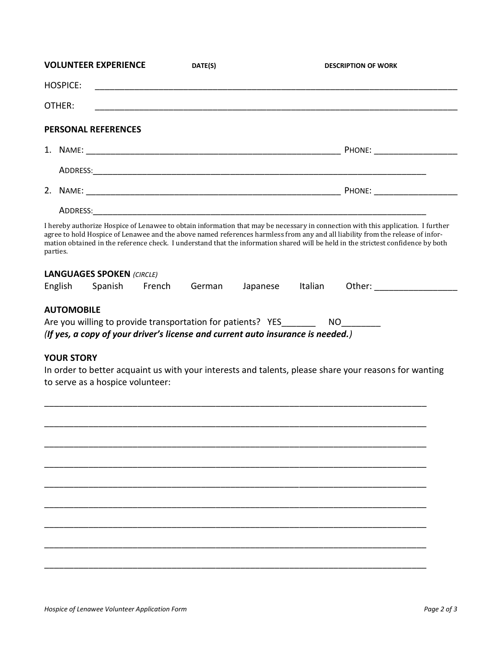|          | <b>VOLUNTEER EXPERIENCE</b>                                                                                                                                                                                                                                                                                                                                                                             | DATE(S) |          |         | <b>DESCRIPTION OF WORK</b>                                                                                                                                                                                                          |
|----------|---------------------------------------------------------------------------------------------------------------------------------------------------------------------------------------------------------------------------------------------------------------------------------------------------------------------------------------------------------------------------------------------------------|---------|----------|---------|-------------------------------------------------------------------------------------------------------------------------------------------------------------------------------------------------------------------------------------|
|          | <b>HOSPICE:</b>                                                                                                                                                                                                                                                                                                                                                                                         |         |          |         |                                                                                                                                                                                                                                     |
| OTHER:   |                                                                                                                                                                                                                                                                                                                                                                                                         |         |          |         |                                                                                                                                                                                                                                     |
|          | <b>PERSONAL REFERENCES</b>                                                                                                                                                                                                                                                                                                                                                                              |         |          |         |                                                                                                                                                                                                                                     |
|          |                                                                                                                                                                                                                                                                                                                                                                                                         |         |          |         | <b>PHONE:</b> The contract of the contract of the contract of the contract of the contract of the contract of the contract of the contract of the contract of the contract of the contract of the contract of the contract of the c |
|          |                                                                                                                                                                                                                                                                                                                                                                                                         |         |          |         |                                                                                                                                                                                                                                     |
|          |                                                                                                                                                                                                                                                                                                                                                                                                         |         |          |         |                                                                                                                                                                                                                                     |
|          |                                                                                                                                                                                                                                                                                                                                                                                                         |         |          |         |                                                                                                                                                                                                                                     |
| parties. | I hereby authorize Hospice of Lenawee to obtain information that may be necessary in connection with this application. I further<br>agree to hold Hospice of Lenawee and the above named references harmless from any and all liability from the release of infor-<br>mation obtained in the reference check. I understand that the information shared will be held in the strictest confidence by both |         |          |         |                                                                                                                                                                                                                                     |
| English  | <b>LANGUAGES SPOKEN (CIRCLE)</b><br>Spanish French                                                                                                                                                                                                                                                                                                                                                      | German  | Japanese | Italian |                                                                                                                                                                                                                                     |
|          | <b>AUTOMOBILE</b><br>Are you willing to provide transportation for patients? YES _____________________<br>(If yes, a copy of your driver's license and current auto insurance is needed.)                                                                                                                                                                                                               |         |          |         |                                                                                                                                                                                                                                     |
|          | <b>YOUR STORY</b><br>In order to better acquaint us with your interests and talents, please share your reasons for wanting<br>to serve as a hospice volunteer:                                                                                                                                                                                                                                          |         |          |         |                                                                                                                                                                                                                                     |
|          |                                                                                                                                                                                                                                                                                                                                                                                                         |         |          |         |                                                                                                                                                                                                                                     |
|          |                                                                                                                                                                                                                                                                                                                                                                                                         |         |          |         |                                                                                                                                                                                                                                     |
|          |                                                                                                                                                                                                                                                                                                                                                                                                         |         |          |         |                                                                                                                                                                                                                                     |
|          |                                                                                                                                                                                                                                                                                                                                                                                                         |         |          |         |                                                                                                                                                                                                                                     |
|          |                                                                                                                                                                                                                                                                                                                                                                                                         |         |          |         |                                                                                                                                                                                                                                     |
|          |                                                                                                                                                                                                                                                                                                                                                                                                         |         |          |         |                                                                                                                                                                                                                                     |
|          |                                                                                                                                                                                                                                                                                                                                                                                                         |         |          |         |                                                                                                                                                                                                                                     |
|          |                                                                                                                                                                                                                                                                                                                                                                                                         |         |          |         |                                                                                                                                                                                                                                     |